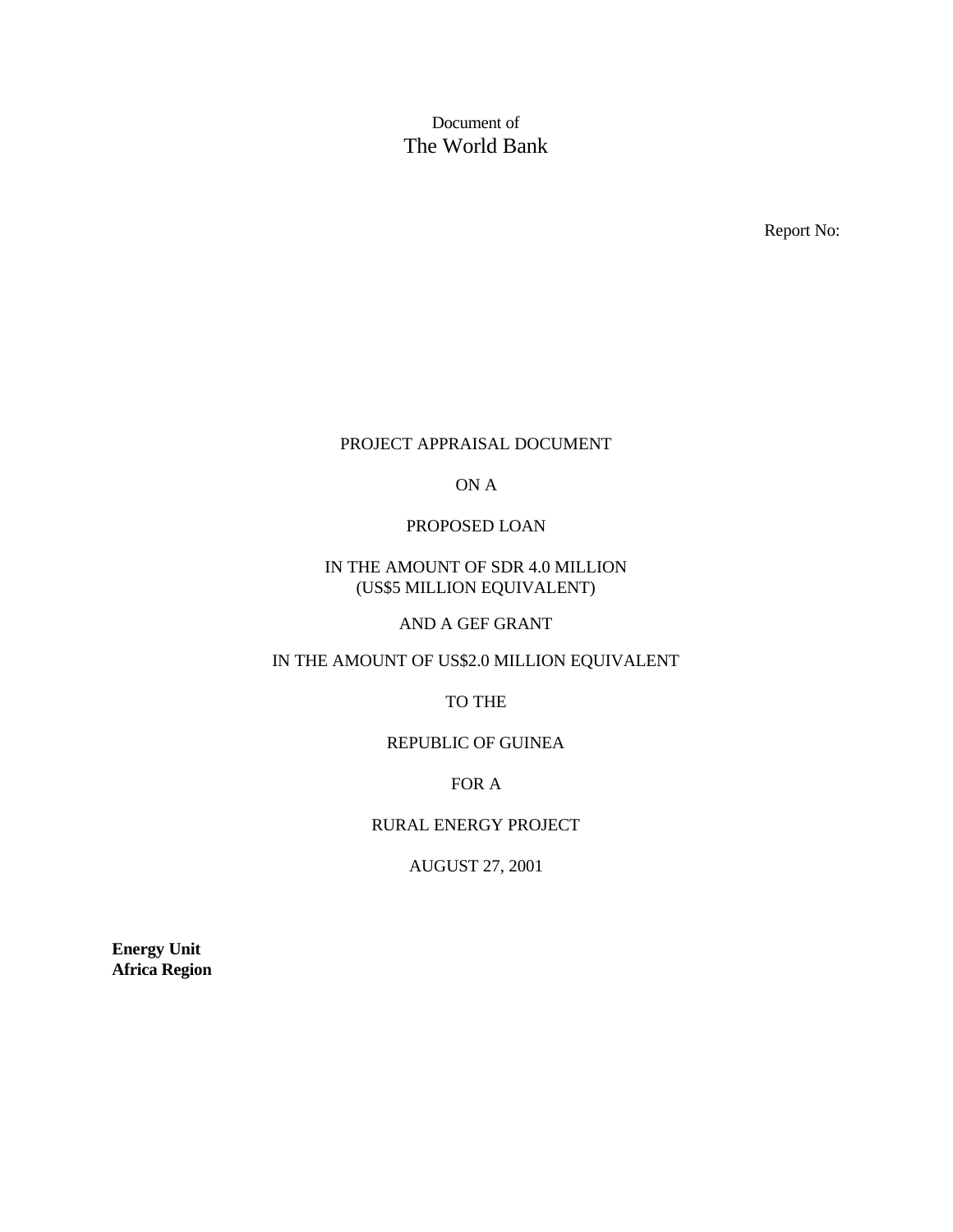# Document of The World Bank

Report No:

#### PROJECT APPRAISAL DOCUMENT

### ON A

#### PROPOSED LOAN

### IN THE AMOUNT OF SDR 4.0 MILLION (US\$5 MILLION EQUIVALENT)

#### AND A GEF GRANT

# IN THE AMOUNT OF US\$2.0 MILLION EQUIVALENT

### TO THE

### REPUBLIC OF GUINEA

### FOR A

#### RURAL ENERGY PROJECT

#### AUGUST 27, 2001

**Energy Unit Africa Region**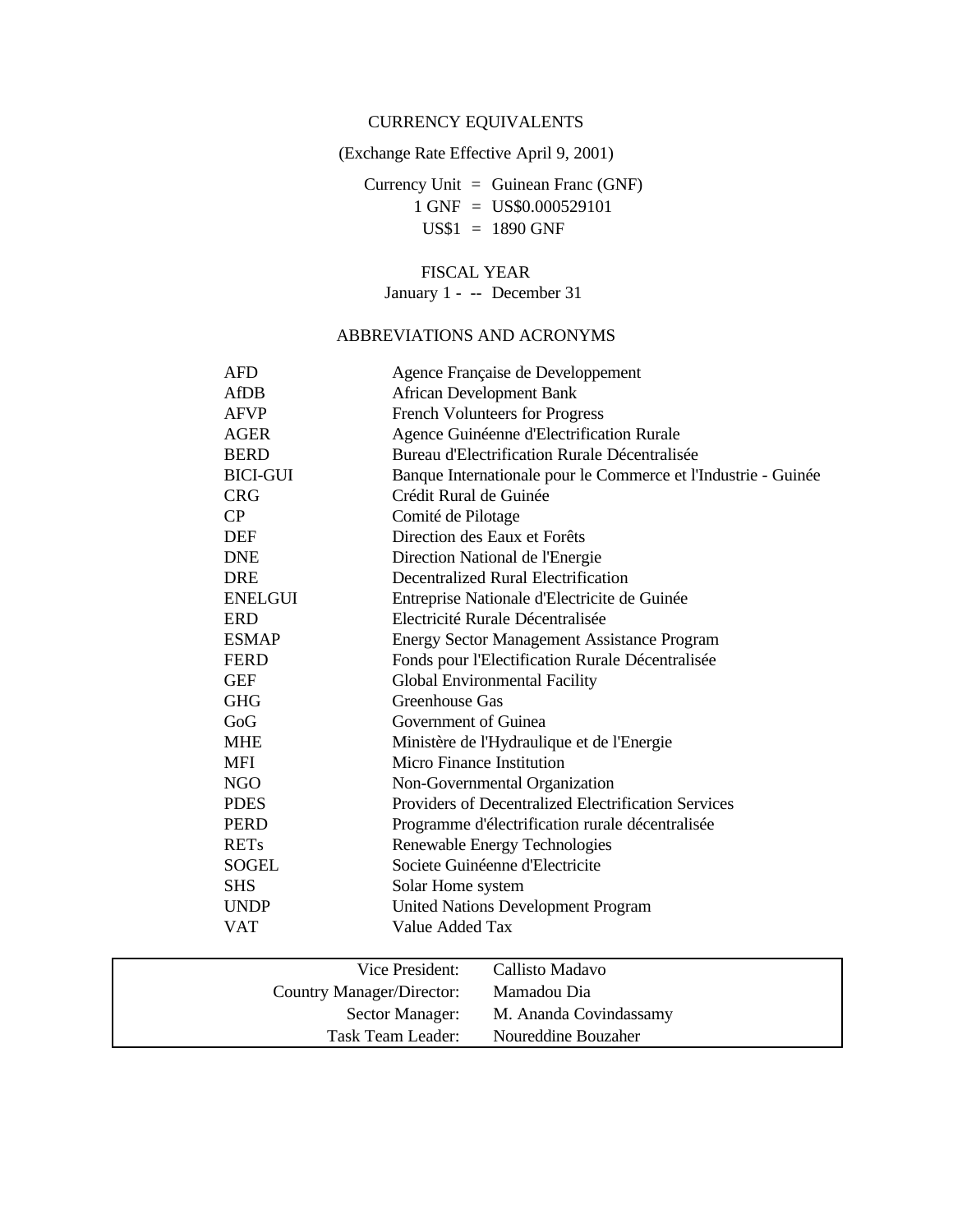# CURRENCY EQUIVALENTS

(Exchange Rate Effective April 9, 2001)

Currency Unit = Guinean Franc (GNF) 1 GNF = US\$0.000529101 US\$1 = 1890 GNF

#### FISCAL YEAR

### January 1 - -- December 31

### ABBREVIATIONS AND ACRONYMS

| <b>AFD</b>      | Agence Française de Developpement                              |
|-----------------|----------------------------------------------------------------|
| <b>AfDB</b>     | <b>African Development Bank</b>                                |
| <b>AFVP</b>     | French Volunteers for Progress                                 |
| AGER            | Agence Guinéenne d'Electrification Rurale                      |
| <b>BERD</b>     | Bureau d'Electrification Rurale Décentralisée                  |
| <b>BICI-GUI</b> | Banque Internationale pour le Commerce et l'Industrie - Guinée |
| <b>CRG</b>      | Crédit Rural de Guinée                                         |
| CP              | Comité de Pilotage                                             |
| <b>DEF</b>      | Direction des Eaux et Forêts                                   |
| <b>DNE</b>      | Direction National de l'Energie                                |
| <b>DRE</b>      | Decentralized Rural Electrification                            |
| <b>ENELGUI</b>  | Entreprise Nationale d'Electricite de Guinée                   |
| <b>ERD</b>      | Electricité Rurale Décentralisée                               |
| <b>ESMAP</b>    | <b>Energy Sector Management Assistance Program</b>             |
| <b>FERD</b>     | Fonds pour l'Electification Rurale Décentralisée               |
| <b>GEF</b>      | Global Environmental Facility                                  |
| <b>GHG</b>      | Greenhouse Gas                                                 |
| GoG             | Government of Guinea                                           |
| <b>MHE</b>      | Ministère de l'Hydraulique et de l'Energie                     |
| <b>MFI</b>      | Micro Finance Institution                                      |
| NGO             | Non-Governmental Organization                                  |
| <b>PDES</b>     | <b>Providers of Decentralized Electrification Services</b>     |
| <b>PERD</b>     | Programme d'électrification rurale décentralisée               |
| <b>RETs</b>     | Renewable Energy Technologies                                  |
| <b>SOGEL</b>    | Societe Guinéenne d'Electricite                                |
| <b>SHS</b>      | Solar Home system                                              |
| <b>UNDP</b>     | <b>United Nations Development Program</b>                      |
| VAT             | Value Added Tax                                                |
|                 |                                                                |

| Vice President:           | Callisto Madavo        |
|---------------------------|------------------------|
| Country Manager/Director: | Mamadou Dia            |
| Sector Manager:           | M. Ananda Covindassamy |
| Task Team Leader:         | Noureddine Bouzaher    |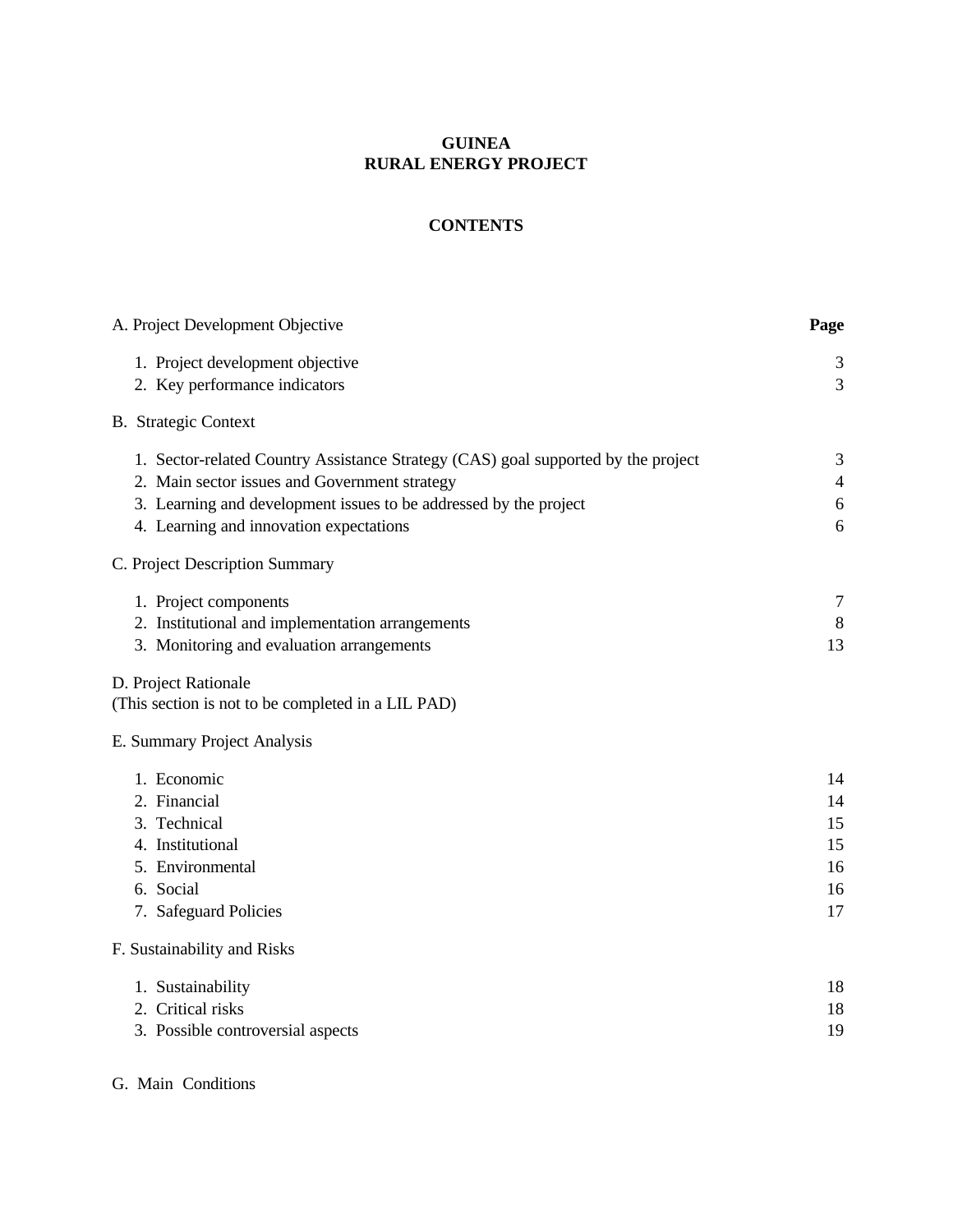### **GUINEA RURAL ENERGY PROJECT**

# **CONTENTS**

| A. Project Development Objective                                                  | Page           |
|-----------------------------------------------------------------------------------|----------------|
| 1. Project development objective                                                  | 3              |
| 2. Key performance indicators                                                     | 3              |
| <b>B.</b> Strategic Context                                                       |                |
| 1. Sector-related Country Assistance Strategy (CAS) goal supported by the project | 3              |
| 2. Main sector issues and Government strategy                                     | $\overline{4}$ |
| 3. Learning and development issues to be addressed by the project                 | 6              |
| 4. Learning and innovation expectations                                           | 6              |
| C. Project Description Summary                                                    |                |
| 1. Project components                                                             | 7              |
| 2. Institutional and implementation arrangements                                  | 8              |
| 3. Monitoring and evaluation arrangements                                         | 13             |
| D. Project Rationale                                                              |                |
| (This section is not to be completed in a LIL PAD)                                |                |
| E. Summary Project Analysis                                                       |                |
| 1. Economic                                                                       | 14             |
| 2. Financial                                                                      | 14             |
| 3. Technical                                                                      | 15             |
| 4. Institutional                                                                  | 15             |
| 5. Environmental                                                                  | 16             |
| 6. Social                                                                         | 16             |
| 7. Safeguard Policies                                                             | 17             |
| F. Sustainability and Risks                                                       |                |
| 1. Sustainability                                                                 | 18             |
| 2. Critical risks                                                                 | 18             |
| 3. Possible controversial aspects                                                 | 19             |

# G. Main Conditions